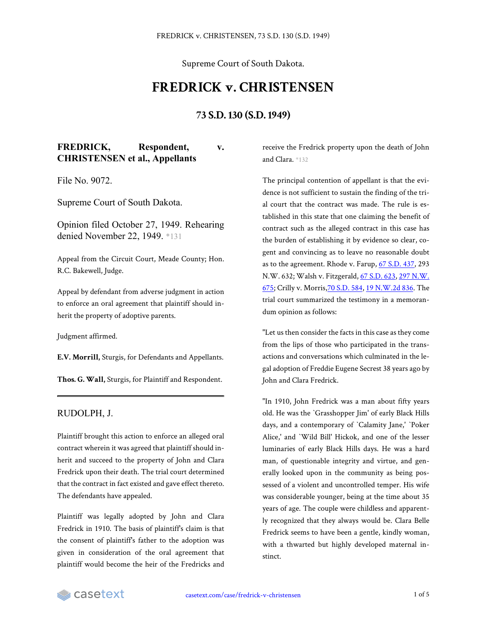Supreme Court of South Dakota.

## **FREDRICK v. CHRISTENSEN**

## **73 S.D. 130 (S.D. 1949)**

**FREDRICK, Respondent, v. CHRISTENSEN et al., Appellants**

File No. 9072.

Supreme Court of South Dakota.

Opinion filed October 27, 1949. Rehearing denied November 22, 1949. \*131

Appeal from the Circuit Court, Meade County; Hon. R.C. Bakewell, Judge.

Appeal by defendant from adverse judgment in action to enforce an oral agreement that plaintiff should inherit the property of adoptive parents.

Judgment affirmed.

**E.V. Morrill,** Sturgis, for Defendants and Appellants.

**Thos. G. Wall,** Sturgis, for Plaintiff and Respondent.

## RUDOLPH, J.

Plaintiff brought this action to enforce an alleged oral contract wherein it was agreed that plaintiff should inherit and succeed to the property of John and Clara Fredrick upon their death. The trial court determined that the contract in fact existed and gave effect thereto. The defendants have appealed.

Plaintiff was legally adopted by John and Clara Fredrick in 1910. The basis of plaintiff's claim is that the consent of plaintiff's father to the adoption was given in consideration of the oral agreement that plaintiff would become the heir of the Fredricks and receive the Fredrick property upon the death of John and Clara. \*132

The principal contention of appellant is that the evidence is not sufficient to sustain the finding of the trial court that the contract was made. The rule is established in this state that one claiming the benefit of contract such as the alleged contract in this case has the burden of establishing it by evidence so clear, cogent and convincing as to leave no reasonable doubt as to the agreement. Rhode v. Farup, 67 [S.D.](https://casetext.com/case/rhode-v-farup) 437, 293 N.W. 632; Walsh v. Fitzgerald, 67 [S.D.](https://casetext.com/case/walsh-v-fitzgerald) 623, 297 [N.W.](https://casetext.com/case/walsh-v-fitzgerald) [675](https://casetext.com/case/walsh-v-fitzgerald); Crilly v. Morris,70 [S.D.](https://casetext.com/case/crilly-v-morris-1) 584, 19 [N.W.2d](https://casetext.com/case/crilly-v-morris-1) 836. The trial court summarized the testimony in a memorandum opinion as follows:

"Let us then consider the facts in thiscase as they come from the lips of those who participated in the transactions and conversations which culminated in the legal adoption of Freddie Eugene Secrest 38 years ago by John and Clara Fredrick.

"In 1910, John Fredrick was a man about fifty years old. He was the `Grasshopper Jim' of early Black Hills days, and a contemporary of `Calamity Jane,' `Poker Alice,' and `Wild Bill' Hickok, and one of the lesser luminaries of early Black Hills days. He was a hard man, of questionable integrity and virtue, and generally looked upon in the community as being possessed of a violent and uncontrolled temper. His wife was considerable younger, being at the time about 35 years of age. The couple were childless and apparently recognized that they always would be. Clara Belle Fredrick seems to have been a gentle, kindly woman, with a thwarted but highly developed maternal instinct.

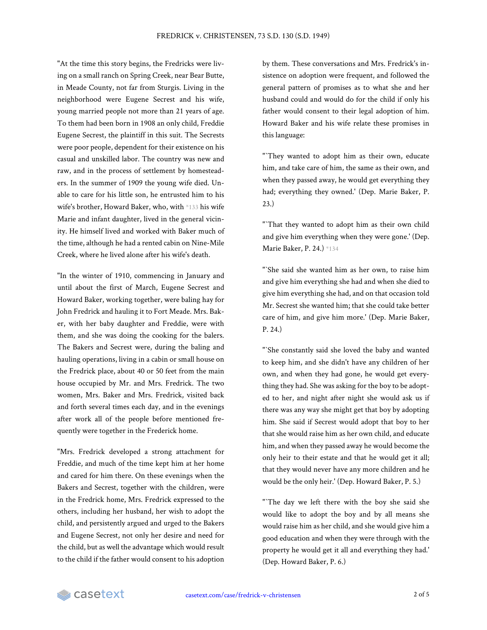"At the time this story begins, the Fredricks were living on a small ranch on Spring Creek, near Bear Butte, in Meade County, not far from Sturgis. Living in the neighborhood were Eugene Secrest and his wife, young married people not more than 21 years of age. To them had been born in 1908 an only child, Freddie Eugene Secrest, the plaintiff in this suit. The Secrests were poor people, dependent for their existence on his casual and unskilled labor. The country was new and raw, and in the process of settlement by homesteaders. In the summer of 1909 the young wife died. Unable to care for his little son, he entrusted him to his wife's brother, Howard Baker, who, with \*133 his wife Marie and infant daughter, lived in the general vicinity. He himself lived and worked with Baker much of the time, although he had a rented cabin on Nine-Mile Creek, where he lived alone after his wife's death.

"In the winter of 1910, commencing in January and until about the first of March, Eugene Secrest and Howard Baker, working together, were baling hay for John Fredrick and hauling it to Fort Meade. Mrs. Baker, with her baby daughter and Freddie, were with them, and she was doing the cooking for the balers. The Bakers and Secrest were, during the baling and hauling operations, living in a cabin or small house on the Fredrick place, about 40 or 50 feet from the main house occupied by Mr. and Mrs. Fredrick. The two women, Mrs. Baker and Mrs. Fredrick, visited back and forth several times each day, and in the evenings after work all of the people before mentioned frequently were together in the Frederick home.

"Mrs. Fredrick developed a strong attachment for Freddie, and much of the time kept him at her home and cared for him there. On these evenings when the Bakers and Secrest, together with the children, were in the Fredrick home, Mrs. Fredrick expressed to the others, including her husband, her wish to adopt the child, and persistently argued and urged to the Bakers and Eugene Secrest, not only her desire and need for the child, but as well the advantage which would result to the child if the father would consent to his adoption by them. These conversations and Mrs. Fredrick's insistence on adoption were frequent, and followed the general pattern of promises as to what she and her husband could and would do for the child if only his father would consent to their legal adoption of him. Howard Baker and his wife relate these promises in this language:

"`They wanted to adopt him as their own, educate him, and take care of him, the same as their own, and when they passed away, he would get everything they had; everything they owned.' (Dep. Marie Baker, P. 23.)

"`That they wanted to adopt him as their own child and give him everything when they were gone.' (Dep. Marie Baker, P. 24.) \*134

"`She said she wanted him as her own, to raise him and give him everything she had and when she died to give him everything she had, and on that occasion told Mr. Secrest she wanted him; that she could take better care of him, and give him more.' (Dep. Marie Baker, P. 24.)

"`She constantly said she loved the baby and wanted to keep him, and she didn't have any children of her own, and when they had gone, he would get everything they had. She was asking for the boy to be adopted to her, and night after night she would ask us if there was any way she might get that boy by adopting him. She said if Secrest would adopt that boy to her that she would raise him as her own child, and educate him, and when they passed away he would become the only heir to their estate and that he would get it all; that they would never have any more children and he would be the only heir.' (Dep. Howard Baker, P. 5.)

"`The day we left there with the boy she said she would like to adopt the boy and by all means she would raise him as her child, and she would give him a good education and when they were through with the property he would get it all and everything they had.' (Dep. Howard Baker, P. 6.)

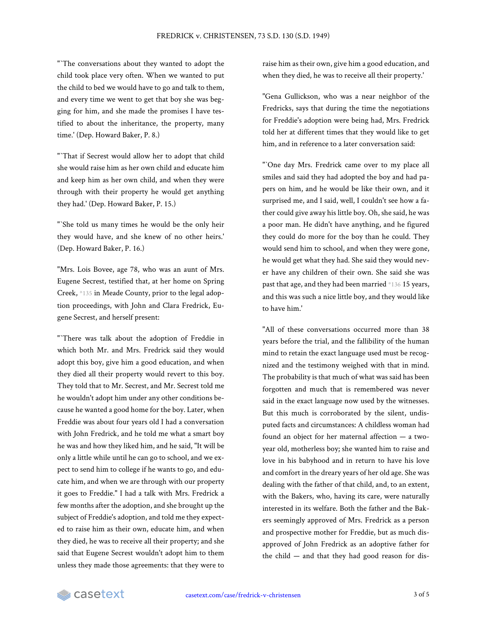"`The conversations about they wanted to adopt the child took place very often. When we wanted to put the child to bed we would have to go and talk to them, and every time we went to get that boy she was begging for him, and she made the promises I have testified to about the inheritance, the property, many time.' (Dep. Howard Baker, P. 8.)

"`That if Secrest would allow her to adopt that child she would raise him as her own child and educate him and keep him as her own child, and when they were through with their property he would get anything they had.' (Dep. Howard Baker, P. 15.)

"`She told us many times he would be the only heir they would have, and she knew of no other heirs.' (Dep. Howard Baker, P. 16.)

"Mrs. Lois Bovee, age 78, who was an aunt of Mrs. Eugene Secrest, testified that, at her home on Spring Creek, \*135 in Meade County, prior to the legal adoption proceedings, with John and Clara Fredrick, Eugene Secrest, and herself present:

"`There was talk about the adoption of Freddie in which both Mr. and Mrs. Fredrick said they would adopt this boy, give him a good education, and when they died all their property would revert to this boy. They told that to Mr. Secrest, and Mr. Secrest told me he wouldn't adopt him under any other conditions because he wanted a good home for the boy. Later, when Freddie was about four years old I had a conversation with John Fredrick, and he told me what a smart boy he was and how they liked him, and he said, "It will be only a little while until he can go to school, and we expect to send him to college if he wants to go, and educate him, and when we are through with our property it goes to Freddie." I had a talk with Mrs. Fredrick a few months after the adoption, and she brought up the subject of Freddie's adoption, and told me they expected to raise him as their own, educate him, and when they died, he was to receive all their property; and she said that Eugene Secrest wouldn't adopt him to them unless they made those agreements: that they were to raise him as their own, give him a good education, and when they died, he was to receive all their property.'

"Gena Gullickson, who was a near neighbor of the Fredricks, says that during the time the negotiations for Freddie's adoption were being had, Mrs. Fredrick told her at different times that they would like to get him, and in reference to a later conversation said:

"'One day Mrs. Fredrick came over to my place all smiles and said they had adopted the boy and had papers on him, and he would be like their own, and it surprised me, and I said, well, I couldn't see how a father could give away his little boy. Oh, she said, he was a poor man. He didn't have anything, and he figured they could do more for the boy than he could. They would send him to school, and when they were gone, he would get what they had. She said they would never have any children of their own. She said she was past that age, and they had been married \*136 15 years, and this was such a nice little boy, and they would like to have him.'

"All of these conversations occurred more than 38 years before the trial, and the fallibility of the human mind to retain the exact language used must be recognized and the testimony weighed with that in mind. The probability is that much of what was said has been forgotten and much that is remembered was never said in the exact language now used by the witnesses. But this much is corroborated by the silent, undisputed facts and circumstances: A childless woman had found an object for her maternal affection — a twoyear old, motherless boy; she wanted him to raise and love in his babyhood and in return to have his love and comfort in the dreary years of her old age. She was dealing with the father of that child, and, to an extent, with the Bakers, who, having its care, were naturally interested in its welfare. Both the father and the Bakers seemingly approved of Mrs. Fredrick as a person and prospective mother for Freddie, but as much disapproved of John Fredrick as an adoptive father for the child — and that they had good reason for dis-

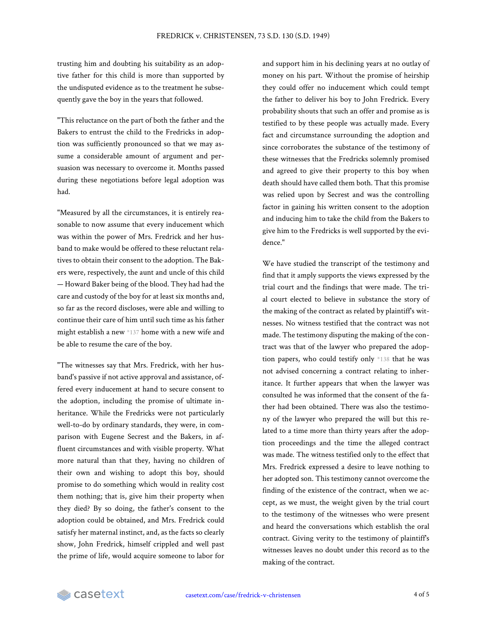trusting him and doubting his suitability as an adoptive father for this child is more than supported by the undisputed evidence as to the treatment he subsequently gave the boy in the years that followed.

"This reluctance on the part of both the father and the Bakers to entrust the child to the Fredricks in adoption was sufficiently pronounced so that we may assume a considerable amount of argument and persuasion was necessary to overcome it. Months passed during these negotiations before legal adoption was had.

"Measured by all the circumstances, it is entirely reasonable to now assume that every inducement which was within the power of Mrs. Fredrick and her husband to make would be offered to these reluctant relatives to obtain their consent to the adoption. The Bakers were, respectively, the aunt and uncle of this child — Howard Baker being of the blood. They had had the care and custody of the boy for at least six months and, so far as the record discloses, were able and willing to continue their care of him until such time as his father might establish a new \*137 home with a new wife and be able to resume the care of the boy.

"The witnesses say that Mrs. Fredrick, with her husband's passive if not active approval and assistance, offered every inducement at hand to secure consent to the adoption, including the promise of ultimate inheritance. While the Fredricks were not particularly well-to-do by ordinary standards, they were, in comparison with Eugene Secrest and the Bakers, in affluent circumstances and with visible property. What more natural than that they, having no children of their own and wishing to adopt this boy, should promise to do something which would in reality cost them nothing; that is, give him their property when they died? By so doing, the father's consent to the adoption could be obtained, and Mrs. Fredrick could satisfy her maternal instinct, and, as the facts so clearly show, John Fredrick, himself crippled and well past the prime of life, would acquire someone to labor for and support him in his declining years at no outlay of money on his part. Without the promise of heirship they could offer no inducement which could tempt the father to deliver his boy to John Fredrick. Every probability shouts that such an offer and promise as is testified to by these people was actually made. Every fact and circumstance surrounding the adoption and since corroborates the substance of the testimony of these witnesses that the Fredricks solemnly promised and agreed to give their property to this boy when death should have called them both. That this promise was relied upon by Secrest and was the controlling factor in gaining his written consent to the adoption and inducing him to take the child from the Bakers to give him to the Fredricks is well supported by the evidence."

We have studied the transcript of the testimony and find that it amply supports the views expressed by the trial court and the findings that were made. The trial court elected to believe in substance the story of the making of the contract as related by plaintiff's witnesses. No witness testified that the contract was not made. The testimony disputing the making of the contract was that of the lawyer who prepared the adoption papers, who could testify only \*138 that he was not advised concerning a contract relating to inheritance. It further appears that when the lawyer was consulted he was informed that the consent of the father had been obtained. There was also the testimony of the lawyer who prepared the will but this related to a time more than thirty years after the adoption proceedings and the time the alleged contract was made. The witness testified only to the effect that Mrs. Fredrick expressed a desire to leave nothing to her adopted son. This testimony cannot overcome the finding of the existence of the contract, when we accept, as we must, the weight given by the trial court to the testimony of the witnesses who were present and heard the conversations which establish the oral contract. Giving verity to the testimony of plaintiff's witnesses leaves no doubt under this record as to the making of the contract.